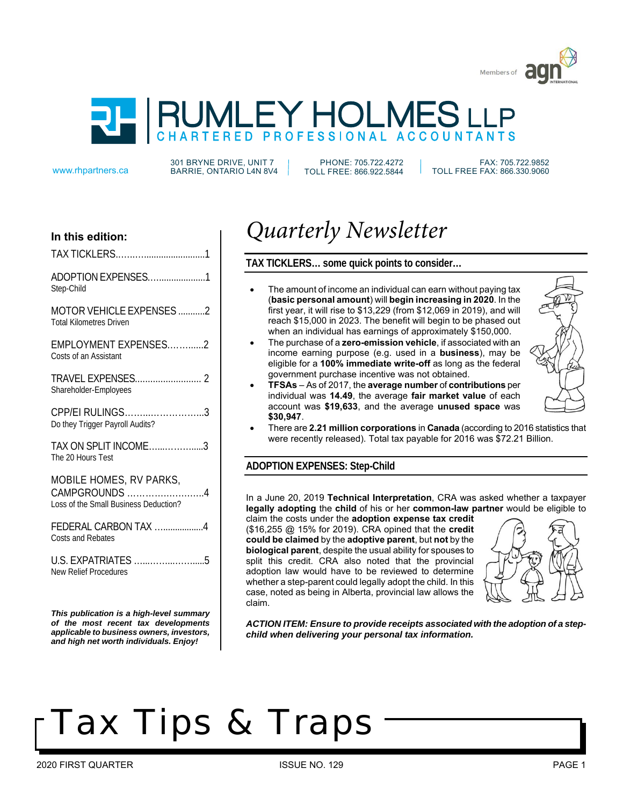



301 BRYNE DRIVE, UNIT 7 www.rhpartners.ca BARRIE, ONTARIO L4N 8V4

PHONE: 705.722.4272 TOLL FREE: 866.922.5844

 FAX: 705.722.9852 TOLL FREE FAX: 866.330.9060

# **In this edition:**

ADOPTION EXPENSES.…...................1 Step-Child

MOTOR VEHICLE EXPENSES ...........2 Total Kilometres Driven

EMPLOYMENT EXPENSES.……......2 Costs of an Assistant

TRAVEL EXPENSES.......................... 2 Shareholder-Employees

CPP/EI RULINGS……...……………...3 Do they Trigger Payroll Audits?

TAX ON SPLIT INCOME…...……….....3 The 20 Hours Test

MOBILE HOMES, RV PARKS, CAMPGROUNDS ………….….….…..4 Loss of the Small Business Deduction?

FEDERAL CARBON TAX ...................4 Costs and Rebates

U.S. EXPATRIATES …...……...…….....5 New Relief Procedures

*This publication is a high-level summary of the most recent tax developments applicable to business owners, investors, and high net worth individuals. Enjoy!*

# *Quarterly Newsletter*

# **TAX TICKLERS… some quick points to consider…**

- The amount of income an individual can earn without paying tax (**basic personal amount**) will **begin increasing in 2020**. In the first year, it will rise to \$13,229 (from \$12,069 in 2019), and will reach \$15,000 in 2023. The benefit will begin to be phased out when an individual has earnings of approximately \$150,000.
- x The purchase of a **zero-emission vehicle**, if associated with an income earning purpose (e.g. used in a **business**), may be eligible for a **100% immediate write-off** as long as the federal government purchase incentive was not obtained.
- x **TFSAs** As of 2017, the **average number** of **contributions** per individual was **14.49**, the average **fair market value** of each account was **\$19,633**, and the average **unused space** was **\$30,947**.



x There are **2.21 million corporations** in **Canada** (according to 2016 statistics that were recently released). Total tax payable for 2016 was \$72.21 Billion.

# **ADOPTION EXPENSES: Step-Child**

In a June 20, 2019 **Technical Interpretation**, CRA was asked whether a taxpayer **legally adopting** the **child** of his or her **common-law partner** would be eligible to

claim the costs under the **adoption expense tax credit**  (\$16,255 @ 15% for 2019). CRA opined that the **credit could be claimed** by the **adoptive parent**, but **not** by the **biological parent**, despite the usual ability for spouses to split this credit. CRA also noted that the provincial adoption law would have to be reviewed to determine whether a step-parent could legally adopt the child. In this case, noted as being in Alberta, provincial law allows the claim.



*ACTION ITEM: Ensure to provide receipts associated with the adoption of a stepchild when delivering your personal tax information.*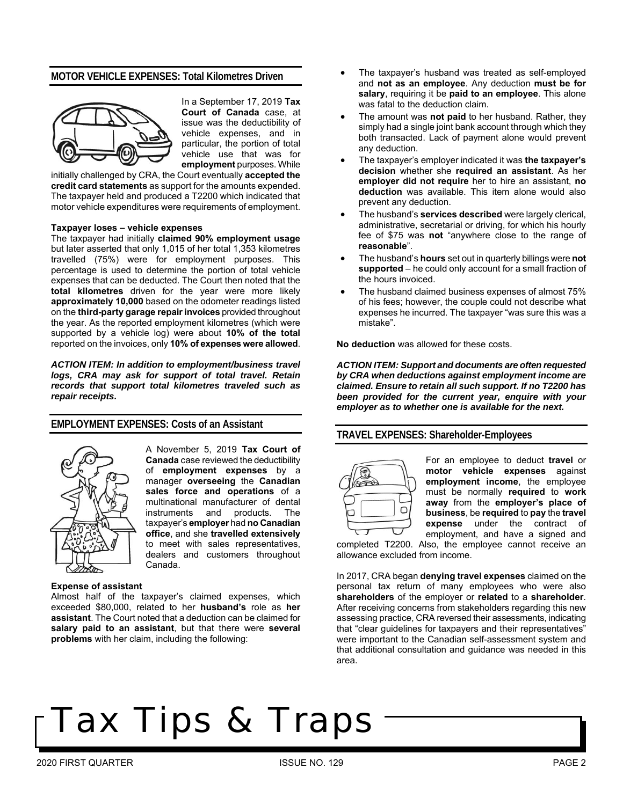### **MOTOR VEHICLE EXPENSES: Total Kilometres Driven**



In a September 17, 2019 **Tax Court of Canada** case, at issue was the deductibility of vehicle expenses, and in particular, the portion of total vehicle use that was for **employment** purposes. While

initially challenged by CRA, the Court eventually **accepted the credit card statements** as support for the amounts expended. The taxpayer held and produced a T2200 which indicated that motor vehicle expenditures were requirements of employment.

#### **Taxpayer loses – vehicle expenses**

The taxpayer had initially **claimed 90% employment usage** but later asserted that only 1,015 of her total 1,353 kilometres travelled (75%) were for employment purposes. This percentage is used to determine the portion of total vehicle expenses that can be deducted. The Court then noted that the **total kilometres** driven for the year were more likely **approximately 10,000** based on the odometer readings listed on the **third-party garage repair invoices** provided throughout the year. As the reported employment kilometres (which were supported by a vehicle log) were about **10% of the total** reported on the invoices, only **10% of expenses were allowed**.

*ACTION ITEM: In addition to employment/business travel*  logs, CRA may ask for support of total travel. Retain *records that support total kilometres traveled such as repair receipts.* 

### **EMPLOYMENT EXPENSES: Costs of an Assistant**



A November 5, 2019 **Tax Court of Canada** case reviewed the deductibility of **employment expenses** by a manager **overseeing** the **Canadian sales force and operations** of a multinational manufacturer of dental instruments and products. The taxpayer's **employer** had **no Canadian office**, and she **travelled extensively** to meet with sales representatives, dealers and customers throughout Canada.

#### **Expense of assistant**

Almost half of the taxpayer's claimed expenses, which exceeded \$80,000, related to her **husband's** role as **her assistant**. The Court noted that a deduction can be claimed for **salary paid to an assistant**, but that there were **several problems** with her claim, including the following:

- The taxpayer's husband was treated as self-employed and **not as an employee**. Any deduction **must be for salary**, requiring it be **paid to an employee**. This alone was fatal to the deduction claim.
- The amount was **not paid** to her husband. Rather, they simply had a single joint bank account through which they both transacted. Lack of payment alone would prevent any deduction.
- x The taxpayer's employer indicated it was **the taxpayer's decision** whether she **required an assistant**. As her **employer did not require** her to hire an assistant, **no deduction** was available. This item alone would also prevent any deduction.
- x The husband's **services described** were largely clerical, administrative, secretarial or driving, for which his hourly fee of \$75 was **not** "anywhere close to the range of **reasonable**".
- x The husband's **hours** set out in quarterly billings were **not supported** – he could only account for a small fraction of the hours invoiced.
- The husband claimed business expenses of almost 75% of his fees; however, the couple could not describe what expenses he incurred. The taxpayer "was sure this was a mistake".

**No deduction** was allowed for these costs.

*ACTION ITEM: Support and documents are often requested by CRA when deductions against employment income are claimed. Ensure to retain all such support. If no T2200 has been provided for the current year, enquire with your employer as to whether one is available for the next.* 

### **TRAVEL EXPENSES: Shareholder-Employees**



For an employee to deduct **travel** or **motor vehicle expenses** against **employment income**, the employee must be normally **required** to **work away** from the **employer's place of business**, be **required** to **pay** the **travel expense** under the contract of employment, and have a signed and

completed T2200. Also, the employee cannot receive an allowance excluded from income.

In 2017, CRA began **denying travel expenses** claimed on the personal tax return of many employees who were also **shareholders** of the employer or **related** to a **shareholder**. After receiving concerns from stakeholders regarding this new assessing practice, CRA reversed their assessments, indicating that "clear guidelines for taxpayers and their representatives" were important to the Canadian self-assessment system and that additional consultation and guidance was needed in this area.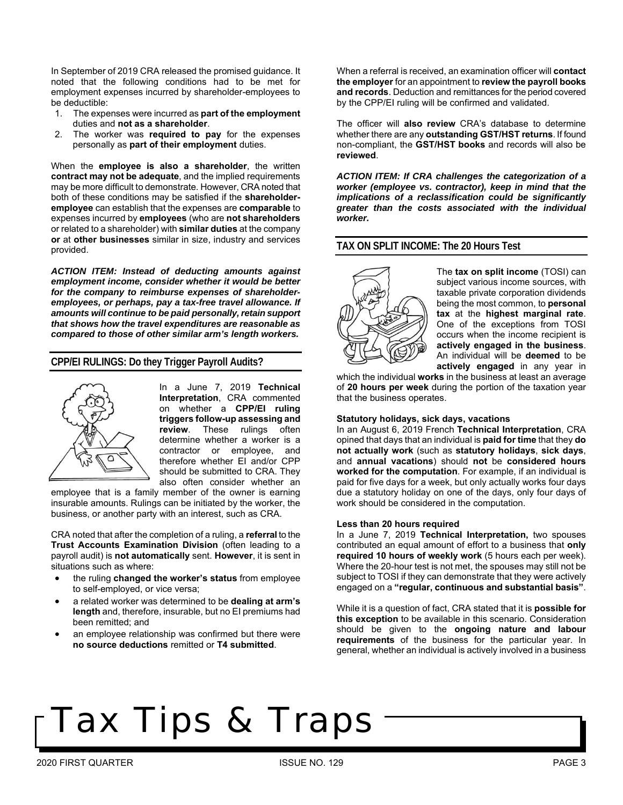In September of 2019 CRA released the promised guidance. It noted that the following conditions had to be met for employment expenses incurred by shareholder-employees to be deductible:

- 1. The expenses were incurred as **part of the employment** duties and **not as a shareholder**.
- The worker was **required to pay** for the expenses personally as **part of their employment** duties.

When the **employee is also a shareholder**, the written **contract may not be adequate**, and the implied requirements may be more difficult to demonstrate. However, CRA noted that both of these conditions may be satisfied if the **shareholderemployee** can establish that the expenses are **comparable** to expenses incurred by **employees** (who are **not shareholders** or related to a shareholder) with **similar duties** at the company **or** at **other businesses** similar in size, industry and services provided.

*ACTION ITEM: Instead of deducting amounts against employment income, consider whether it would be better for the company to reimburse expenses of shareholderemployees, or perhaps, pay a tax-free travel allowance. If amounts will continue to be paid personally, retain support that shows how the travel expenditures are reasonable as compared to those of other similar arm's length workers.* 

# **CPP/EI RULINGS: Do they Trigger Payroll Audits?**



In a June 7, 2019 **Technical Interpretation**, CRA commented on whether a **CPP/EI ruling triggers follow-up assessing and review**. These rulings often determine whether a worker is a contractor or employee, and therefore whether EI and/or CPP should be submitted to CRA. They also often consider whether an

employee that is a family member of the owner is earning insurable amounts. Rulings can be initiated by the worker, the business, or another party with an interest, such as CRA.

CRA noted that after the completion of a ruling, a **referral** to the **Trust Accounts Examination Division** (often leading to a payroll audit) is **not automatically** sent. **However**, it is sent in situations such as where:

- x the ruling **changed the worker's status** from employee to self-employed, or vice versa;
- x a related worker was determined to be **dealing at arm's length** and, therefore, insurable, but no EI premiums had been remitted; and
- an employee relationship was confirmed but there were **no source deductions** remitted or **T4 submitted**.

When a referral is received, an examination officer will **contact the employer** for an appointment to **review the payroll books and records**. Deduction and remittances for the period covered by the CPP/EI ruling will be confirmed and validated.

The officer will **also review** CRA's database to determine whether there are any **outstanding GST/HST returns**. If found non-compliant, the **GST/HST books** and records will also be **reviewed**.

*ACTION ITEM: If CRA challenges the categorization of a worker (employee vs. contractor), keep in mind that the implications of a reclassification could be significantly greater than the costs associated with the individual worker.* 

### **TAX ON SPLIT INCOME: The 20 Hours Test**



The **tax on split income** (TOSI) can subject various income sources, with taxable private corporation dividends being the most common, to **personal tax** at the **highest marginal rate**. One of the exceptions from TOSI occurs when the income recipient is **actively engaged in the business**. An individual will be **deemed** to be **actively engaged** in any year in

which the individual **works** in the business at least an average of **20 hours per week** during the portion of the taxation year that the business operates.

#### **Statutory holidays, sick days, vacations**

In an August 6, 2019 French **Technical Interpretation**, CRA opined that days that an individual is **paid for time** that they **do not actually work** (such as **statutory holidays**, **sick days**, and **annual vacations**) should **not** be **considered hours worked for the computation**. For example, if an individual is paid for five days for a week, but only actually works four days due a statutory holiday on one of the days, only four days of work should be considered in the computation.

#### **Less than 20 hours required**

In a June 7, 2019 **Technical Interpretation,** two spouses contributed an equal amount of effort to a business that **only required 10 hours of weekly work** (5 hours each per week). Where the 20-hour test is not met, the spouses may still not be subject to TOSI if they can demonstrate that they were actively engaged on a **"regular, continuous and substantial basis"**.

While it is a question of fact, CRA stated that it is **possible for this exception** to be available in this scenario. Consideration should be given to the **ongoing nature and labour requirements** of the business for the particular year. In general, whether an individual is actively involved in a business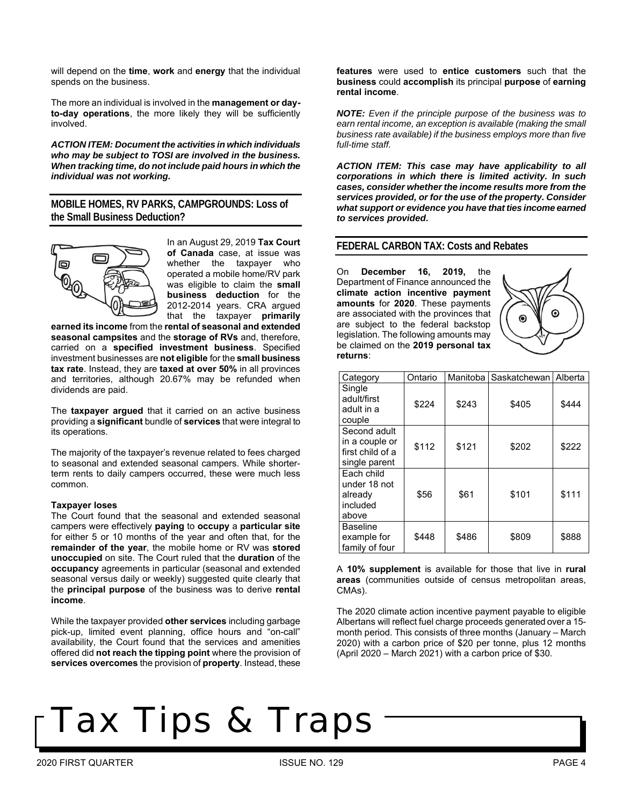will depend on the **time**, **work** and **energy** that the individual spends on the business.

The more an individual is involved in the **management or dayto-day operations**, the more likely they will be sufficiently involved.

*ACTION ITEM: Document the activities in which individuals who may be subject to TOSI are involved in the business. When tracking time, do not include paid hours in which the individual was not working.* 

**MOBILE HOMES, RV PARKS, CAMPGROUNDS: Loss of the Small Business Deduction?**



In an August 29, 2019 **Tax Court of Canada** case, at issue was whether the taxpayer who operated a mobile home/RV park was eligible to claim the **small business deduction** for the 2012-2014 years. CRA argued that the taxpayer **primarily** 

**earned its income** from the **rental of seasonal and extended seasonal campsites** and the **storage of RVs** and, therefore, carried on a **specified investment business**. Specified investment businesses are **not eligible** for the **small business tax rate**. Instead, they are **taxed at over 50%** in all provinces and territories, although 20.67% may be refunded when dividends are paid.

The **taxpayer argued** that it carried on an active business providing a **significant** bundle of **services** that were integral to its operations.

The majority of the taxpayer's revenue related to fees charged to seasonal and extended seasonal campers. While shorterterm rents to daily campers occurred, these were much less common.

#### **Taxpayer loses**

The Court found that the seasonal and extended seasonal campers were effectively **paying** to **occupy** a **particular site** for either 5 or 10 months of the year and often that, for the **remainder of the year**, the mobile home or RV was **stored unoccupied** on site. The Court ruled that the **duration** of the **occupancy** agreements in particular (seasonal and extended seasonal versus daily or weekly) suggested quite clearly that the **principal purpose** of the business was to derive **rental income**.

While the taxpayer provided **other services** including garbage pick-up, limited event planning, office hours and "on-call" availability, the Court found that the services and amenities offered did **not reach the tipping point** where the provision of **services overcomes** the provision of **property**. Instead, these

**features** were used to **entice customers** such that the **business** could **accomplish** its principal **purpose** of **earning rental income**.

*NOTE: Even if the principle purpose of the business was to earn rental income, an exception is available (making the small business rate available) if the business employs more than five full-time staff.* 

*ACTION ITEM: This case may have applicability to all corporations in which there is limited activity. In such cases, consider whether the income results more from the services provided, or for the use of the property. Consider what support or evidence you have that ties income earned to services provided***.** 

### **FEDERAL CARBON TAX: Costs and Rebates**

On **December 16, 2019,** the Department of Finance announced the **climate action incentive payment amounts** for **2020**. These payments are associated with the provinces that are subject to the federal backstop legislation. The following amounts may be claimed on the **2019 personal tax returns**:



| Category                                                            | Ontario | Manitoba | Saskatchewan | Alberta |
|---------------------------------------------------------------------|---------|----------|--------------|---------|
| Single<br>adult/first<br>adult in a<br>couple                       | \$224   | \$243    | \$405        | \$444   |
| Second adult<br>in a couple or<br>first child of a<br>single parent | \$112   | \$121    | \$202        | \$222   |
| Each child<br>under 18 not<br>already<br>included<br>above          | \$56    | \$61     | \$101        | \$111   |
| <b>Baseline</b><br>example for<br>family of four                    | \$448   | \$486    | \$809        | \$888   |

A **10% supplement** is available for those that live in **rural areas** (communities outside of census metropolitan areas, CMAs).

The 2020 climate action incentive payment payable to eligible Albertans will reflect fuel charge proceeds generated over a 15 month period. This consists of three months (January – March 2020) with a carbon price of \$20 per tonne, plus 12 months (April 2020 – March 2021) with a carbon price of \$30.